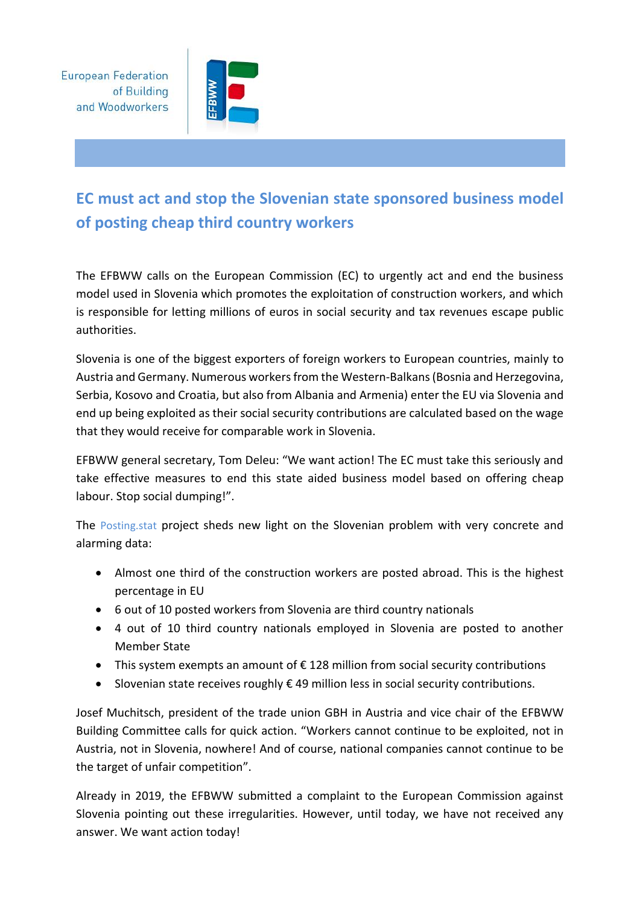**European Federation** of Building and Woodworkers



## **EC must act and stop the Slovenian state sponsored business model of posting cheap third country workers**

The EFBWW calls on the European Commission (EC) to urgently act and end the business model used in Slovenia which promotes the exploitation of construction workers, and which is responsible for letting millions of euros in social security and tax revenues escape public authorities.

Slovenia is one of the biggest exporters of foreign workers to European countries, mainly to Austria and Germany. Numerous workers from the Western-Balkans (Bosnia and Herzegovina, Serbia, Kosovo and Croatia, but also from Albania and Armenia) enter the EU via Slovenia and end up being exploited as their social security contributions are calculated based on the wage that they would receive for comparable work in Slovenia.

EFBWW general secretary, Tom Deleu: "We want action! The EC must take this seriously and take effective measures to end this state aided business model based on offering cheap labour. Stop social dumping!".

The [Posting.stat](https://hiva.kuleuven.be/en/news/docs/POSTING_STAT_Slovenie_Posted_workers_from_slovenia_facts_and_figures) project sheds new light on the Slovenian problem with very concrete and alarming data:

- Almost one third of the construction workers are posted abroad. This is the highest percentage in EU
- 6 out of 10 posted workers from Slovenia are third country nationals
- 4 out of 10 third country nationals employed in Slovenia are posted to another Member State
- This system exempts an amount of € 128 million from social security contributions
- Slovenian state receives roughly  $\epsilon$  49 million less in social security contributions.

Josef Muchitsch, president of the trade union GBH in Austria and vice chair of the EFBWW Building Committee calls for quick action. "Workers cannot continue to be exploited, not in Austria, not in Slovenia, nowhere! And of course, national companies cannot continue to be the target of unfair competition".

Already in 2019, the EFBWW submitted a complaint to the European Commission against Slovenia pointing out these irregularities. However, until today, we have not received any answer. We want action today!